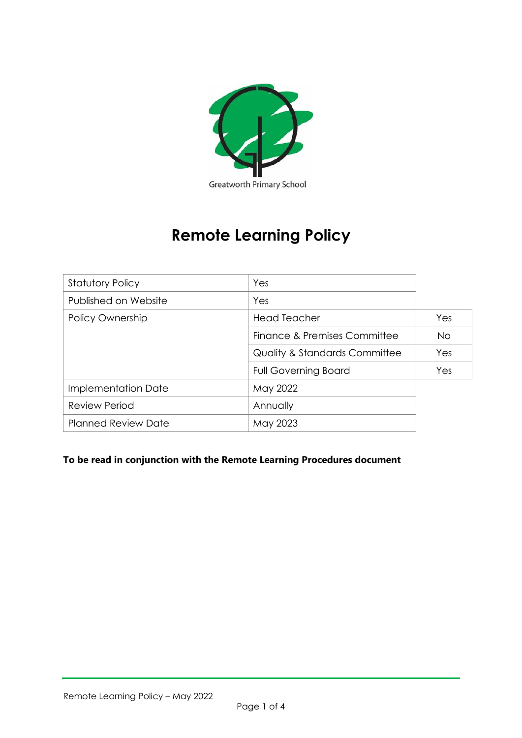

# **Remote Learning Policy**

| <b>Statutory Policy</b>    | Yes                                      |     |
|----------------------------|------------------------------------------|-----|
| Published on Website       | Yes                                      |     |
| Policy Ownership           | <b>Head Teacher</b>                      | Yes |
|                            | Finance & Premises Committee             | No. |
|                            | <b>Quality &amp; Standards Committee</b> | Yes |
|                            | <b>Full Governing Board</b>              | Yes |
| Implementation Date        | May 2022                                 |     |
| <b>Review Period</b>       | Annually                                 |     |
| <b>Planned Review Date</b> | May 2023                                 |     |

# **To be read in conjunction with the Remote Learning Procedures document**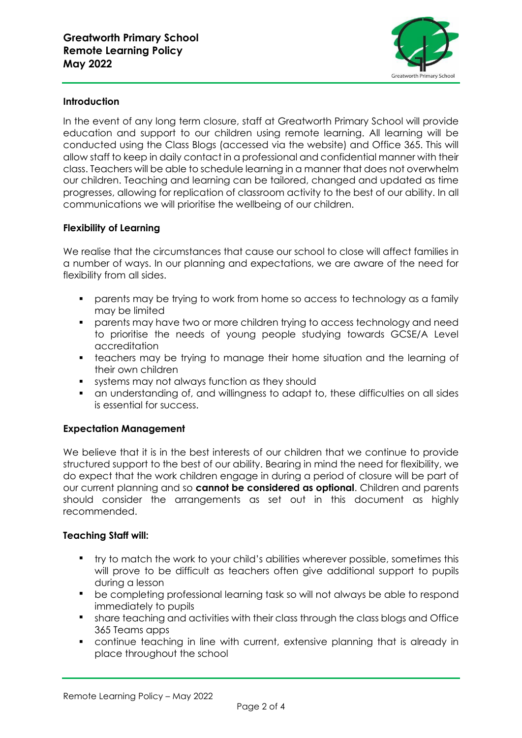

## **Introduction**

In the event of any long term closure, staff at Greatworth Primary School will provide education and support to our children using remote learning. All learning will be conducted using the Class Blogs (accessed via the website) and Office 365. This will allow staff to keep in daily contact in a professional and confidential manner with their class. Teachers will be able to schedule learning in a manner that does not overwhelm our children. Teaching and learning can be tailored, changed and updated as time progresses, allowing for replication of classroom activity to the best of our ability. In all communications we will prioritise the wellbeing of our children.

### **Flexibility of Learning**

We realise that the circumstances that cause our school to close will affect families in a number of ways. In our planning and expectations, we are aware of the need for flexibility from all sides.

- parents may be trying to work from home so access to technology as a family may be limited
- parents may have two or more children trying to access technology and need to prioritise the needs of young people studying towards GCSE/A Level accreditation
- teachers may be trying to manage their home situation and the learning of their own children
- systems may not always function as they should
- an understanding of, and willingness to adapt to, these difficulties on all sides is essential for success.

#### **Expectation Management**

We believe that it is in the best interests of our children that we continue to provide structured support to the best of our ability. Bearing in mind the need for flexibility, we do expect that the work children engage in during a period of closure will be part of our current planning and so **cannot be considered as optional**. Children and parents should consider the arrangements as set out in this document as highly recommended.

#### **Teaching Staff will:**

- try to match the work to your child's abilities wherever possible, sometimes this will prove to be difficult as teachers often give additional support to pupils during a lesson
- be completing professional learning task so will not always be able to respond immediately to pupils
- share teaching and activities with their class through the class blogs and Office 365 Teams apps
- continue teaching in line with current, extensive planning that is already in place throughout the school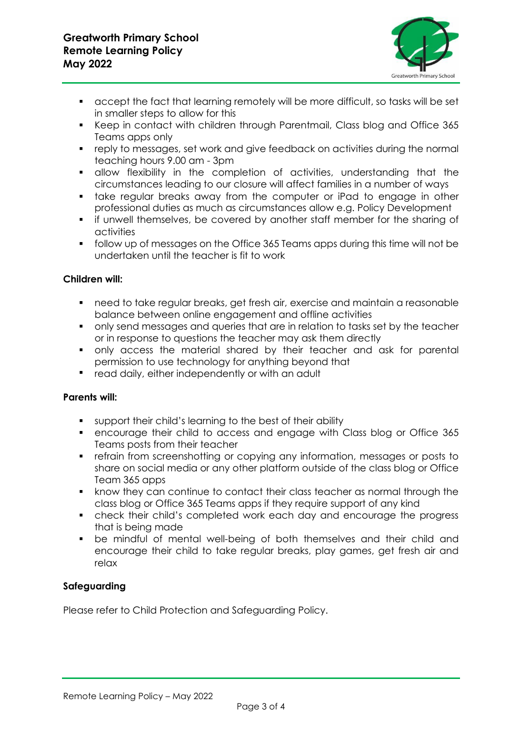

- accept the fact that learning remotely will be more difficult, so tasks will be set in smaller steps to allow for this
- Keep in contact with children through Parentmail, Class blog and Office 365 Teams apps only
- reply to messages, set work and give feedback on activities during the normal teaching hours 9.00 am - 3pm
- allow flexibility in the completion of activities, understanding that the circumstances leading to our closure will affect families in a number of ways
- **•** take regular breaks away from the computer or iPad to engage in other professional duties as much as circumstances allow e.g. Policy Development
- if unwell themselves, be covered by another staff member for the sharing of activities
- follow up of messages on the Office 365 Teams apps during this time will not be undertaken until the teacher is fit to work

## **Children will:**

- need to take regular breaks, get fresh air, exercise and maintain a reasonable balance between online engagement and offline activities
- only send messages and queries that are in relation to tasks set by the teacher or in response to questions the teacher may ask them directly
- only access the material shared by their teacher and ask for parental permission to use technology for anything beyond that
- read daily, either independently or with an adult

## **Parents will:**

- support their child's learning to the best of their ability
- encourage their child to access and engage with Class blog or Office 365 Teams posts from their teacher
- **•** refrain from screenshotting or copying any information, messages or posts to share on social media or any other platform outside of the class blog or Office Team 365 apps
- know they can continue to contact their class teacher as normal through the class blog or Office 365 Teams apps if they require support of any kind
- check their child's completed work each day and encourage the progress that is being made
- be mindful of mental well-being of both themselves and their child and encourage their child to take regular breaks, play games, get fresh air and relax

## **Safeguarding**

Please refer to Child Protection and Safeguarding Policy.